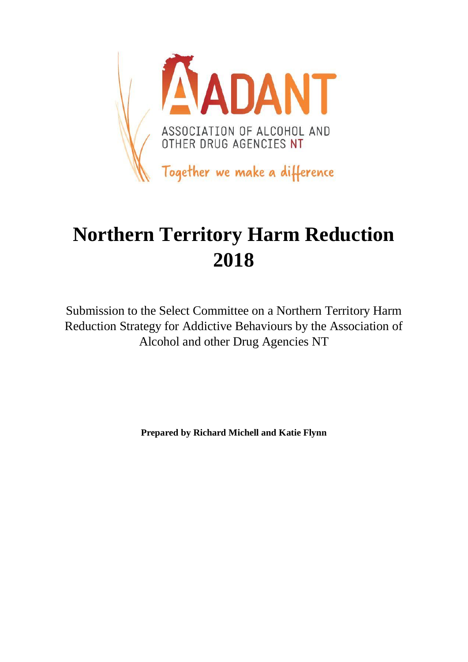

# **Northern Territory Harm Reduction 2018**

Submission to the Select Committee on a Northern Territory Harm Reduction Strategy for Addictive Behaviours by the Association of Alcohol and other Drug Agencies NT

**Prepared by Richard Michell and Katie Flynn**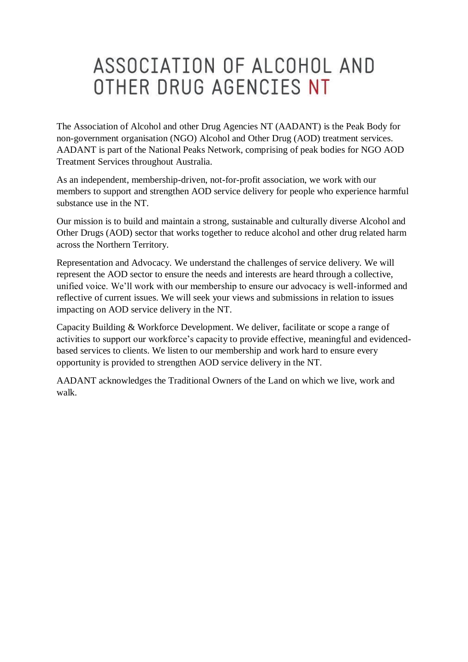# ASSOCIATION OF ALCOHOL AND OTHER DRUG AGENCIES NT

The Association of Alcohol and other Drug Agencies NT (AADANT) is the Peak Body for non-government organisation (NGO) Alcohol and Other Drug (AOD) treatment services. AADANT is part of the National Peaks Network, comprising of peak bodies for NGO AOD Treatment Services throughout Australia.

As an independent, membership-driven, not-for-profit association, we work with our members to support and strengthen AOD service delivery for people who experience harmful substance use in the NT.

Our mission is to build and maintain a strong, sustainable and culturally diverse Alcohol and Other Drugs (AOD) sector that works together to reduce alcohol and other drug related harm across the Northern Territory.

Representation and Advocacy. We understand the challenges of service delivery. We will represent the AOD sector to ensure the needs and interests are heard through a collective, unified voice. We'll work with our membership to ensure our advocacy is well-informed and reflective of current issues. We will seek your views and submissions in relation to issues impacting on AOD service delivery in the NT.

Capacity Building & Workforce Development. We deliver, facilitate or scope a range of activities to support our workforce's capacity to provide effective, meaningful and evidencedbased services to clients. We listen to our membership and work hard to ensure every opportunity is provided to strengthen AOD service delivery in the NT.

AADANT acknowledges the Traditional Owners of the Land on which we live, work and walk.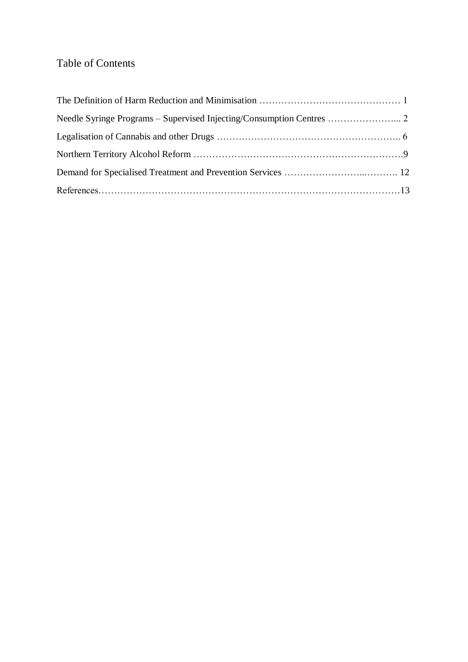## Table of Contents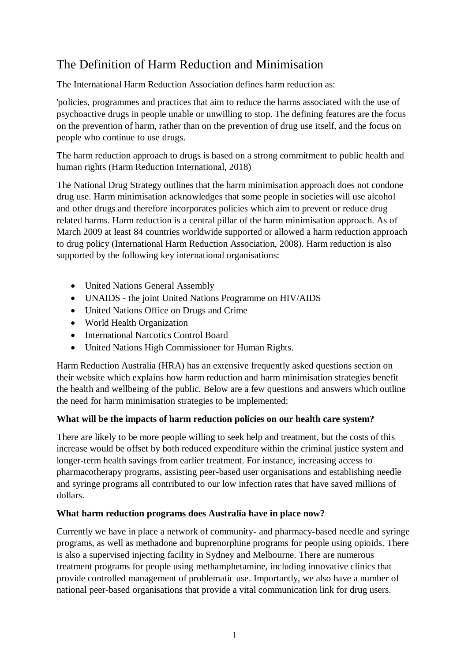# The Definition of Harm Reduction and Minimisation

The International Harm Reduction Association defines harm reduction as:

'policies, programmes and practices that aim to reduce the harms associated with the use of psychoactive drugs in people unable or unwilling to stop. The defining features are the focus on the prevention of harm, rather than on the prevention of drug use itself, and the focus on people who continue to use drugs.

The harm reduction approach to drugs is based on a strong commitment to public health and human rights (Harm Reduction International, 2018)

The National Drug Strategy outlines that the harm minimisation approach does not condone drug use. Harm minimisation acknowledges that some people in societies will use alcohol and other drugs and therefore incorporates policies which aim to prevent or reduce drug related harms. Harm reduction is a central pillar of the harm minimisation approach. As of March 2009 at least 84 countries worldwide supported or allowed a harm reduction approach to drug policy (International Harm Reduction Association, 2008). Harm reduction is also supported by the following key international organisations:

- United Nations General Assembly
- UNAIDS the joint United Nations Programme on HIV/AIDS
- United Nations Office on Drugs and Crime
- World Health Organization
- International Narcotics Control Board
- United Nations High Commissioner for Human Rights.

Harm Reduction Australia (HRA) has an extensive frequently asked questions section on their website which explains how harm reduction and harm minimisation strategies benefit the health and wellbeing of the public. Below are a few questions and answers which outline the need for harm minimisation strategies to be implemented:

## **What will be the impacts of harm reduction policies on our health care system?**

There are likely to be more people willing to seek help and treatment, but the costs of this increase would be offset by both reduced expenditure within the criminal justice system and longer-term health savings from earlier treatment. For instance, increasing access to pharmacotherapy programs, assisting peer-based user organisations and establishing needle and syringe programs all contributed to our low infection rates that have saved millions of dollars.

## **What harm reduction programs does Australia have in place now?**

Currently we have in place a network of community- and pharmacy-based needle and syringe programs, as well as methadone and buprenorphine programs for people using opioids. There is also a supervised injecting facility in Sydney and Melbourne. There are numerous treatment programs for people using methamphetamine, including innovative clinics that provide controlled management of problematic use. Importantly, we also have a number of national peer-based organisations that provide a vital communication link for drug users.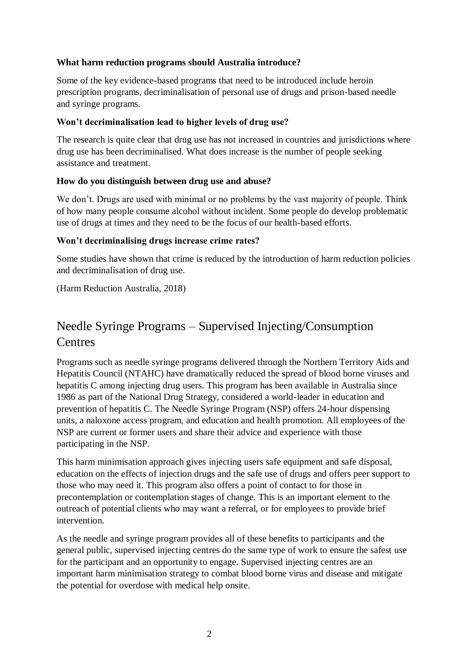#### **What harm reduction programs should Australia introduce?**

Some of the key evidence-based programs that need to be introduced include heroin prescription programs, decriminalisation of personal use of drugs and prison-based needle and syringe programs.

#### **Won't decriminalisation lead to higher levels of drug use?**

The research is quite clear that drug use has not increased in countries and jurisdictions where drug use has been decriminalised. What does increase is the number of people seeking assistance and treatment.

#### **How do you distinguish between drug use and abuse?**

We don't. Drugs are used with minimal or no problems by the vast majority of people. Think of how many people consume alcohol without incident. Some people do develop problematic use of drugs at times and they need to be the focus of our health-based efforts.

#### **Won't decriminalising drugs increase crime rates?**

Some studies have shown that crime is reduced by the introduction of harm reduction policies and decriminalisation of drug use.

(Harm Reduction Australia, 2018)

# Needle Syringe Programs – Supervised Injecting/Consumption **Centres**

Programs such as needle syringe programs delivered through the Northern Territory Aids and Hepatitis Council (NTAHC) have dramatically reduced the spread of blood borne viruses and hepatitis C among injecting drug users. This program has been available in Australia since 1986 as part of the National Drug Strategy, considered a world-leader in education and prevention of hepatitis C. The Needle Syringe Program (NSP) offers 24-hour dispensing units, a naloxone access program, and education and health promotion. All employees of the NSP are current or former users and share their advice and experience with those participating in the NSP.

This harm minimisation approach gives injecting users safe equipment and safe disposal, education on the effects of injection drugs and the safe use of drugs and offers peer support to those who may need it. This program also offers a point of contact to for those in precontemplation or contemplation stages of change. This is an important element to the outreach of potential clients who may want a referral, or for employees to provide brief intervention.

As the needle and syringe program provides all of these benefits to participants and the general public, supervised injecting centres do the same type of work to ensure the safest use for the participant and an opportunity to engage. Supervised injecting centres are an important harm minimisation strategy to combat blood borne virus and disease and mitigate the potential for overdose with medical help onsite.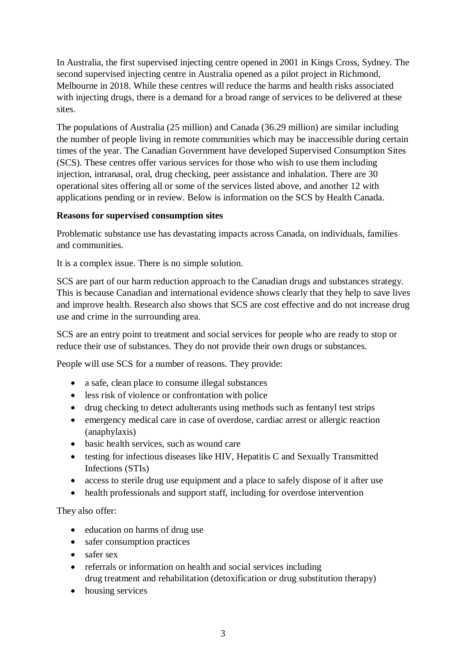In Australia, the first supervised injecting centre opened in 2001 in Kings Cross, Sydney. The second supervised injecting centre in Australia opened as a pilot project in Richmond, Melbourne in 2018. While these centres will reduce the harms and health risks associated with injecting drugs, there is a demand for a broad range of services to be delivered at these sites.

The populations of Australia (25 million) and Canada (36.29 million) are similar including the number of people living in remote communities which may be inaccessible during certain times of the year. The Canadian Government have developed Supervised Consumption Sites (SCS). These centres offer various services for those who wish to use them including injection, intranasal, oral, drug checking, peer assistance and inhalation. There are 30 operational sites offering all or some of the services listed above, and another 12 with applications pending or in review. Below is information on the SCS by Health Canada.

## **Reasons for supervised consumption sites**

Problematic substance use has devastating impacts across Canada, on individuals, families and communities.

It is a complex issue. There is no simple solution.

SCS are part of our harm reduction approach to the Canadian drugs and substances strategy. This is because Canadian and international evidence shows clearly that they help to save lives and improve health. Research also shows that SCS are cost effective and do not increase drug use and crime in the surrounding area.

SCS are an entry point to treatment and social services for people who are ready to stop or reduce their use of substances. They do not provide their own drugs or substances.

People will use SCS for a number of reasons. They provide:

- a safe, clean place to consume illegal substances
- less risk of violence or confrontation with police
- drug checking to detect adulterants using methods such as fentanyl test strips
- emergency medical care in case of overdose, cardiac arrest or allergic reaction (anaphylaxis)
- basic health services, such as wound care
- testing for infectious diseases like HIV, Hepatitis C and Sexually Transmitted Infections (STIs)
- access to sterile drug use equipment and a place to safely dispose of it after use
- health professionals and support staff, including for overdose intervention

They also offer:

- education on harms of drug use
- safer consumption practices
- safer sex
- referrals or information on health and social services including drug treatment and rehabilitation (detoxification or drug substitution therapy)
- housing services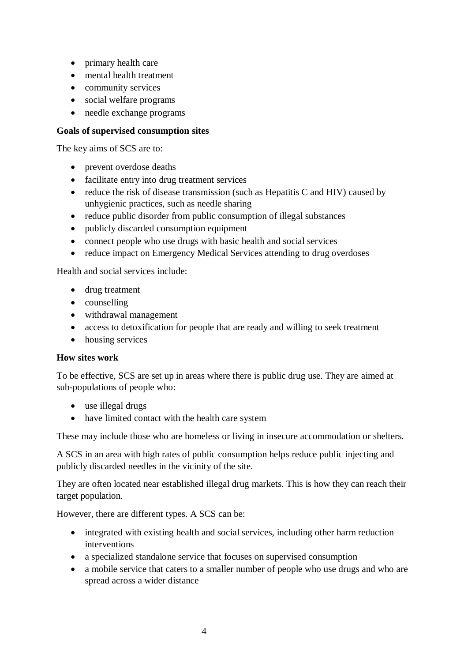- primary health care
- mental health treatment
- community services
- social welfare programs
- needle exchange programs

### **Goals of supervised consumption sites**

The key aims of SCS are to:

- prevent overdose deaths
- facilitate entry into drug treatment services
- reduce the risk of disease transmission (such as Hepatitis C and HIV) caused by unhygienic practices, such as needle sharing
- reduce public disorder from public consumption of illegal substances
- publicly discarded consumption equipment
- connect people who use drugs with basic health and social services
- reduce impact on Emergency Medical Services attending to drug overdoses

Health and social services include:

- drug treatment
- counselling
- withdrawal management
- access to detoxification for people that are ready and willing to seek treatment
- housing services

#### **How sites work**

To be effective, SCS are set up in areas where there is public drug use. They are aimed at sub-populations of people who:

- use illegal drugs
- have limited contact with the health care system

These may include those who are homeless or living in insecure accommodation or shelters.

A SCS in an area with high rates of public consumption helps reduce public injecting and publicly discarded needles in the vicinity of the site.

They are often located near established illegal drug markets. This is how they can reach their target population.

However, there are different types. A SCS can be:

- integrated with existing health and social services, including other harm reduction interventions
- a specialized standalone service that focuses on supervised consumption
- a mobile service that caters to a smaller number of people who use drugs and who are spread across a wider distance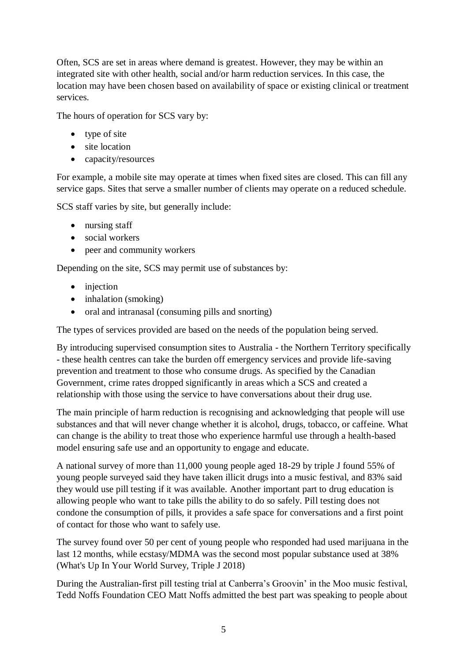Often, SCS are set in areas where demand is greatest. However, they may be within an integrated site with other health, social and/or harm reduction services. In this case, the location may have been chosen based on availability of space or existing clinical or treatment services.

The hours of operation for SCS vary by:

- type of site
- site location
- capacity/resources

For example, a mobile site may operate at times when fixed sites are closed. This can fill any service gaps. Sites that serve a smaller number of clients may operate on a reduced schedule.

SCS staff varies by site, but generally include:

- nursing staff
- social workers
- peer and community workers

Depending on the site, SCS may permit use of substances by:

- injection
- inhalation (smoking)
- oral and intranasal (consuming pills and snorting)

The types of services provided are based on the needs of the population being served.

By introducing supervised consumption sites to Australia - the Northern Territory specifically - these health centres can take the burden off emergency services and provide life-saving prevention and treatment to those who consume drugs. As specified by the Canadian Government, crime rates dropped significantly in areas which a SCS and created a relationship with those using the service to have conversations about their drug use.

The main principle of harm reduction is recognising and acknowledging that people will use substances and that will never change whether it is alcohol, drugs, tobacco, or caffeine. What can change is the ability to treat those who experience harmful use through a health-based model ensuring safe use and an opportunity to engage and educate.

A national survey of more than 11,000 young people aged 18-29 by triple J found 55% of young people surveyed said they have taken illicit drugs into a music festival, and 83% said they would use pill testing if it was available. Another important part to drug education is allowing people who want to take pills the ability to do so safely. Pill testing does not condone the consumption of pills, it provides a safe space for conversations and a first point of contact for those who want to safely use.

The survey found over 50 per cent of young people who responded had used marijuana in the last 12 months, while ecstasy/MDMA was the second most popular substance used at 38% (What's Up In Your World Survey, Triple J 2018)

During the Australian-first pill testing trial at Canberra's Groovin' in the Moo music festival, Tedd Noffs Foundation CEO Matt Noffs admitted the best part was speaking to people about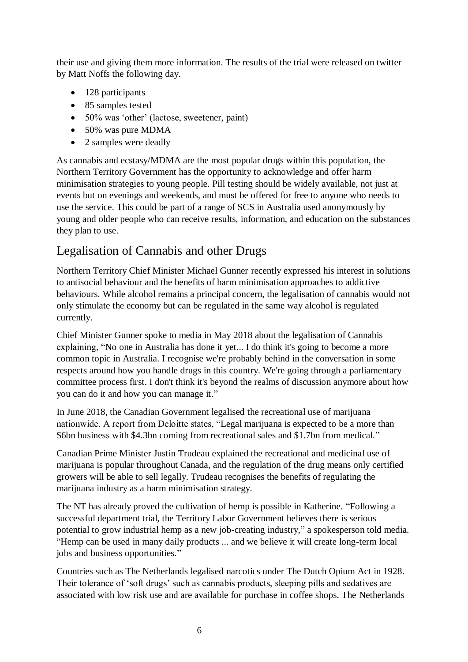their use and giving them more information. The results of the trial were released on twitter by Matt Noffs the following day.

- 128 participants
- 85 samples tested
- 50% was 'other' (lactose, sweetener, paint)
- 50% was pure MDMA
- 2 samples were deadly

As cannabis and ecstasy/MDMA are the most popular drugs within this population, the Northern Territory Government has the opportunity to acknowledge and offer harm minimisation strategies to young people. Pill testing should be widely available, not just at events but on evenings and weekends, and must be offered for free to anyone who needs to use the service. This could be part of a range of SCS in Australia used anonymously by young and older people who can receive results, information, and education on the substances they plan to use.

# Legalisation of Cannabis and other Drugs

Northern Territory Chief Minister Michael Gunner recently expressed his interest in solutions to antisocial behaviour and the benefits of harm minimisation approaches to addictive behaviours. While alcohol remains a principal concern, the legalisation of cannabis would not only stimulate the economy but can be regulated in the same way alcohol is regulated currently.

Chief Minister Gunner spoke to media in May 2018 about the legalisation of Cannabis explaining, "No one in Australia has done it yet... I do think it's going to become a more common topic in Australia. I recognise we're probably behind in the conversation in some respects around how you handle drugs in this country. We're going through a parliamentary committee process first. I don't think it's beyond the realms of discussion anymore about how you can do it and how you can manage it."

In June 2018, the Canadian Government legalised the recreational use of marijuana nationwide. A report from Deloitte states, "Legal marijuana is expected to be a more than \$6bn business with \$4.3bn coming from recreational sales and \$1.7bn from medical."

Canadian Prime Minister Justin Trudeau explained the recreational and medicinal use of marijuana is popular throughout Canada, and the regulation of the drug means only certified growers will be able to sell legally. Trudeau recognises the benefits of regulating the marijuana industry as a harm minimisation strategy.

The NT has already proved the cultivation of hemp is possible in Katherine. "Following a successful department trial, the Territory Labor Government believes there is serious potential to grow industrial hemp as a new job-creating industry," a spokesperson told media. "Hemp can be used in many daily products ... and we believe it will create long-term local jobs and business opportunities."

Countries such as The Netherlands legalised narcotics under The Dutch Opium Act in 1928. Their tolerance of 'soft drugs' such as cannabis products, sleeping pills and sedatives are associated with low risk use and are available for purchase in coffee shops. The Netherlands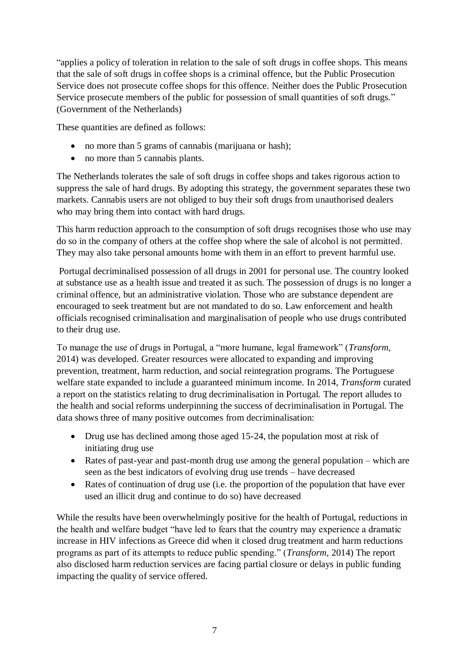"applies a policy of toleration in relation to the sale of soft drugs in coffee shops. This means that the sale of soft drugs in coffee shops is a criminal offence, but the Public Prosecution Service does not prosecute coffee shops for this offence. Neither does the Public Prosecution Service prosecute members of the public for possession of small quantities of soft drugs." (Government of the Netherlands)

These quantities are defined as follows:

- no more than 5 grams of cannabis (marijuana or hash);
- no more than 5 cannabis plants.

The Netherlands tolerates the sale of soft drugs in coffee shops and takes rigorous action to suppress the sale of hard drugs. By adopting this strategy, the government separates these two markets. Cannabis users are not obliged to buy their soft drugs from unauthorised dealers who may bring them into contact with hard drugs.

This harm reduction approach to the consumption of soft drugs recognises those who use may do so in the company of others at the coffee shop where the sale of alcohol is not permitted. They may also take personal amounts home with them in an effort to prevent harmful use.

Portugal decriminalised possession of all drugs in 2001 for personal use. The country looked at substance use as a health issue and treated it as such. The possession of drugs is no longer a criminal offence, but an administrative violation. Those who are substance dependent are encouraged to seek treatment but are not mandated to do so. Law enforcement and health officials recognised criminalisation and marginalisation of people who use drugs contributed to their drug use.

To manage the use of drugs in Portugal, a "more humane, legal framework" (*Transform,*  2014) was developed. Greater resources were allocated to expanding and improving prevention, treatment, harm reduction, and social reintegration programs. The Portuguese welfare state expanded to include a guaranteed minimum income. In 2014, *Transform* curated a report on the statistics relating to drug decriminalisation in Portugal. The report alludes to the health and social reforms underpinning the success of decriminalisation in Portugal. The data shows three of many positive outcomes from decriminalisation:

- Drug use has declined among those aged 15-24, the population most at risk of initiating drug use
- Rates of past-year and past-month drug use among the general population which are seen as the best indicators of evolving drug use trends – have decreased
- Rates of continuation of drug use (i.e. the proportion of the population that have ever used an illicit drug and continue to do so) have decreased

While the results have been overwhelmingly positive for the health of Portugal, reductions in the health and welfare budget "have led to fears that the country may experience a dramatic increase in HIV infections as Greece did when it closed drug treatment and harm reductions programs as part of its attempts to reduce public spending." (*Transform,* 2014) The report also disclosed harm reduction services are facing partial closure or delays in public funding impacting the quality of service offered.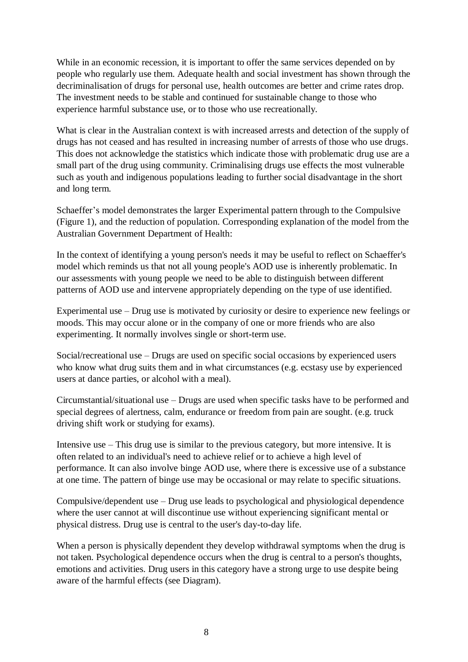While in an economic recession, it is important to offer the same services depended on by people who regularly use them. Adequate health and social investment has shown through the decriminalisation of drugs for personal use, health outcomes are better and crime rates drop. The investment needs to be stable and continued for sustainable change to those who experience harmful substance use, or to those who use recreationally.

What is clear in the Australian context is with increased arrests and detection of the supply of drugs has not ceased and has resulted in increasing number of arrests of those who use drugs. This does not acknowledge the statistics which indicate those with problematic drug use are a small part of the drug using community. Criminalising drugs use effects the most vulnerable such as youth and indigenous populations leading to further social disadvantage in the short and long term.

Schaeffer's model demonstrates the larger Experimental pattern through to the Compulsive (Figure 1), and the reduction of population. Corresponding explanation of the model from the Australian Government Department of Health:

In the context of identifying a young person's needs it may be useful to reflect on Schaeffer's model which reminds us that not all young people's AOD use is inherently problematic. In our assessments with young people we need to be able to distinguish between different patterns of AOD use and intervene appropriately depending on the type of use identified.

Experimental use – Drug use is motivated by curiosity or desire to experience new feelings or moods. This may occur alone or in the company of one or more friends who are also experimenting. It normally involves single or short-term use.

Social/recreational use – Drugs are used on specific social occasions by experienced users who know what drug suits them and in what circumstances (e.g. ecstasy use by experienced users at dance parties, or alcohol with a meal).

Circumstantial/situational use – Drugs are used when specific tasks have to be performed and special degrees of alertness, calm, endurance or freedom from pain are sought. (e.g. truck driving shift work or studying for exams).

Intensive use – This drug use is similar to the previous category, but more intensive. It is often related to an individual's need to achieve relief or to achieve a high level of performance. It can also involve binge AOD use, where there is excessive use of a substance at one time. The pattern of binge use may be occasional or may relate to specific situations.

Compulsive/dependent use – Drug use leads to psychological and physiological dependence where the user cannot at will discontinue use without experiencing significant mental or physical distress. Drug use is central to the user's day-to-day life.

When a person is physically dependent they develop withdrawal symptoms when the drug is not taken. Psychological dependence occurs when the drug is central to a person's thoughts, emotions and activities. Drug users in this category have a strong urge to use despite being aware of the harmful effects (see Diagram).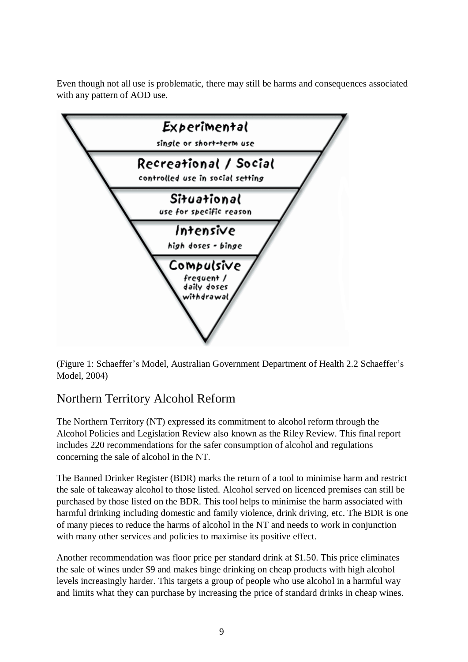Even though not all use is problematic, there may still be harms and consequences associated with any pattern of AOD use.



(Figure 1: Schaeffer's Model, Australian Government Department of Health 2.2 Schaeffer's Model, 2004)

# Northern Territory Alcohol Reform

The Northern Territory (NT) expressed its commitment to alcohol reform through the Alcohol Policies and Legislation Review also known as the Riley Review. This final report includes 220 recommendations for the safer consumption of alcohol and regulations concerning the sale of alcohol in the NT.

The Banned Drinker Register (BDR) marks the return of a tool to minimise harm and restrict the sale of takeaway alcohol to those listed. Alcohol served on licenced premises can still be purchased by those listed on the BDR. This tool helps to minimise the harm associated with harmful drinking including domestic and family violence, drink driving, etc. The BDR is one of many pieces to reduce the harms of alcohol in the NT and needs to work in conjunction with many other services and policies to maximise its positive effect.

Another recommendation was floor price per standard drink at \$1.50. This price eliminates the sale of wines under \$9 and makes binge drinking on cheap products with high alcohol levels increasingly harder. This targets a group of people who use alcohol in a harmful way and limits what they can purchase by increasing the price of standard drinks in cheap wines.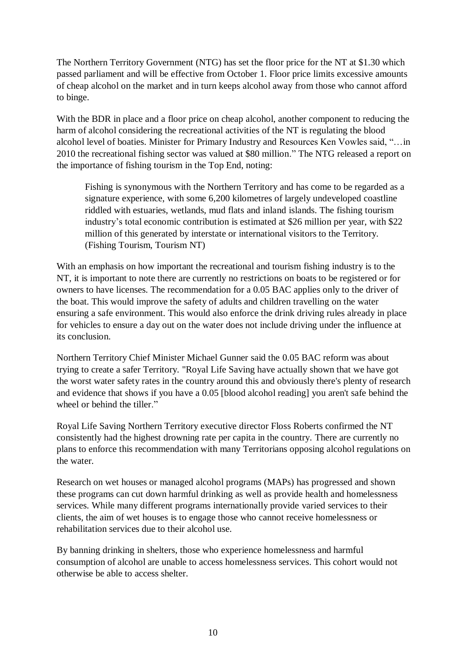The Northern Territory Government (NTG) has set the floor price for the NT at \$1.30 which passed parliament and will be effective from October 1. Floor price limits excessive amounts of cheap alcohol on the market and in turn keeps alcohol away from those who cannot afford to binge.

With the BDR in place and a floor price on cheap alcohol, another component to reducing the harm of alcohol considering the recreational activities of the NT is regulating the blood alcohol level of boaties. Minister for Primary Industry and Resources Ken Vowles said, "…in 2010 the recreational fishing sector was valued at \$80 million." The NTG released a report on the importance of fishing tourism in the Top End, noting:

Fishing is synonymous with the Northern Territory and has come to be regarded as a signature experience, with some 6,200 kilometres of largely undeveloped coastline riddled with estuaries, wetlands, mud flats and inland islands. The fishing tourism industry's total economic contribution is estimated at \$26 million per year, with \$22 million of this generated by interstate or international visitors to the Territory. (Fishing Tourism, Tourism NT)

With an emphasis on how important the recreational and tourism fishing industry is to the NT, it is important to note there are currently no restrictions on boats to be registered or for owners to have licenses. The recommendation for a 0.05 BAC applies only to the driver of the boat. This would improve the safety of adults and children travelling on the water ensuring a safe environment. This would also enforce the drink driving rules already in place for vehicles to ensure a day out on the water does not include driving under the influence at its conclusion.

Northern Territory Chief Minister Michael Gunner said the 0.05 BAC reform was about trying to create a safer Territory. "Royal Life Saving have actually shown that we have got the worst water safety rates in the country around this and obviously there's plenty of research and evidence that shows if you have a 0.05 [blood alcohol reading] you aren't safe behind the wheel or behind the tiller."

Royal Life Saving Northern Territory executive director Floss Roberts confirmed the NT consistently had the highest drowning rate per capita in the country. There are currently no plans to enforce this recommendation with many Territorians opposing alcohol regulations on the water.

Research on wet houses or managed alcohol programs (MAPs) has progressed and shown these programs can cut down harmful drinking as well as provide health and homelessness services. While many different programs internationally provide varied services to their clients, the aim of wet houses is to engage those who cannot receive homelessness or rehabilitation services due to their alcohol use.

By banning drinking in shelters, those who experience homelessness and harmful consumption of alcohol are unable to access homelessness services. This cohort would not otherwise be able to access shelter.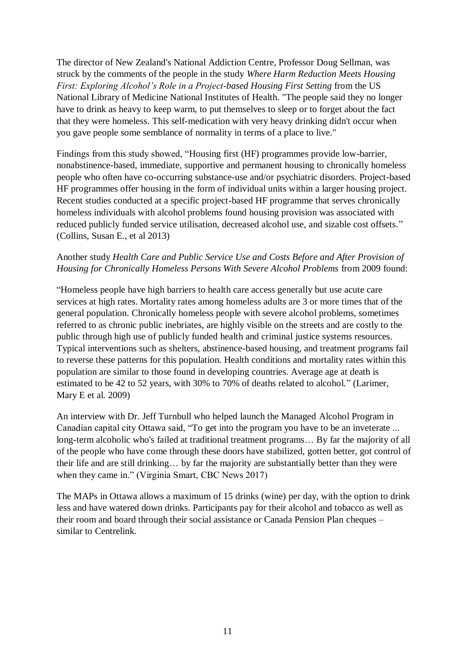The director of New Zealand's National Addiction Centre, Professor Doug Sellman, was struck by the comments of the people in the study *Where Harm Reduction Meets Housing First: Exploring Alcohol's Role in a Project-based Housing First Setting* from the US National Library of Medicine National Institutes of Health. "The people said they no longer have to drink as heavy to keep warm, to put themselves to sleep or to forget about the fact that they were homeless. This self-medication with very heavy drinking didn't occur when you gave people some semblance of normality in terms of a place to live."

Findings from this study showed, "Housing first (HF) programmes provide low-barrier, nonabstinence-based, immediate, supportive and permanent housing to chronically homeless people who often have co-occurring substance-use and/or psychiatric disorders. Project-based HF programmes offer housing in the form of individual units within a larger housing project. Recent studies conducted at a specific project-based HF programme that serves chronically homeless individuals with alcohol problems found housing provision was associated with reduced publicly funded service utilisation, decreased alcohol use, and sizable cost offsets." (Collins, Susan E., et al 2013)

## Another study *Health Care and Public Service Use and Costs Before and After Provision of Housing for Chronically Homeless Persons With Severe Alcohol Problems* from 2009 found:

"Homeless people have high barriers to health care access generally but use acute care services at high rates. Mortality rates among homeless adults are 3 or more times that of the general population. Chronically homeless people with severe alcohol problems, sometimes referred to as chronic public inebriates, are highly visible on the streets and are costly to the public through high use of publicly funded health and criminal justice systems resources. Typical interventions such as shelters, abstinence-based housing, and treatment programs fail to reverse these patterns for this population. Health conditions and mortality rates within this population are similar to those found in developing countries. Average age at death is estimated to be 42 to 52 years, with 30% to 70% of deaths related to alcohol." (Larimer, Mary E et al. 2009)

An interview with Dr. Jeff Turnbull who helped launch the Managed Alcohol Program in Canadian capital city Ottawa said, "To get into the program you have to be an inveterate ... long-term alcoholic who's failed at traditional treatment programs… By far the majority of all of the people who have come through these doors have stabilized, gotten better, got control of their life and are still drinking… by far the majority are substantially better than they were when they came in." (Virginia Smart, CBC News 2017)

The MAPs in Ottawa allows a maximum of 15 drinks (wine) per day, with the option to drink less and have watered down drinks. Participants pay for their alcohol and tobacco as well as their room and board through their social assistance or Canada Pension Plan cheques – similar to Centrelink.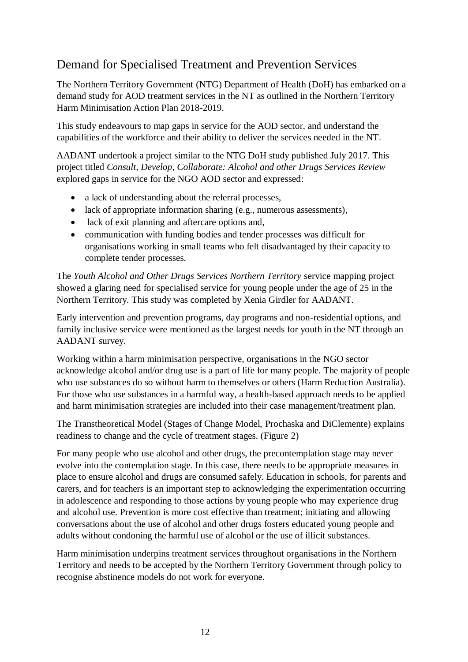# Demand for Specialised Treatment and Prevention Services

The Northern Territory Government (NTG) Department of Health (DoH) has embarked on a demand study for AOD treatment services in the NT as outlined in the Northern Territory Harm Minimisation Action Plan 2018-2019.

This study endeavours to map gaps in service for the AOD sector, and understand the capabilities of the workforce and their ability to deliver the services needed in the NT.

AADANT undertook a project similar to the NTG DoH study published July 2017. This project titled *Consult, Develop, Collaborate: Alcohol and other Drugs Services Review* explored gaps in service for the NGO AOD sector and expressed:

- a lack of understanding about the referral processes,
- lack of appropriate information sharing (e.g., numerous assessments),
- lack of exit planning and aftercare options and,
- communication with funding bodies and tender processes was difficult for organisations working in small teams who felt disadvantaged by their capacity to complete tender processes.

The *Youth Alcohol and Other Drugs Services Northern Territory* service mapping project showed a glaring need for specialised service for young people under the age of 25 in the Northern Territory. This study was completed by Xenia Girdler for AADANT.

Early intervention and prevention programs, day programs and non-residential options, and family inclusive service were mentioned as the largest needs for youth in the NT through an AADANT survey.

Working within a harm minimisation perspective, organisations in the NGO sector acknowledge alcohol and/or drug use is a part of life for many people. The majority of people who use substances do so without harm to themselves or others (Harm Reduction Australia). For those who use substances in a harmful way, a health-based approach needs to be applied and harm minimisation strategies are included into their case management/treatment plan.

The Transtheoretical Model (Stages of Change Model, Prochaska and DiClemente) explains readiness to change and the cycle of treatment stages. (Figure 2)

For many people who use alcohol and other drugs, the precontemplation stage may never evolve into the contemplation stage. In this case, there needs to be appropriate measures in place to ensure alcohol and drugs are consumed safely. Education in schools, for parents and carers, and for teachers is an important step to acknowledging the experimentation occurring in adolescence and responding to those actions by young people who may experience drug and alcohol use. Prevention is more cost effective than treatment; initiating and allowing conversations about the use of alcohol and other drugs fosters educated young people and adults without condoning the harmful use of alcohol or the use of illicit substances.

Harm minimisation underpins treatment services throughout organisations in the Northern Territory and needs to be accepted by the Northern Territory Government through policy to recognise abstinence models do not work for everyone.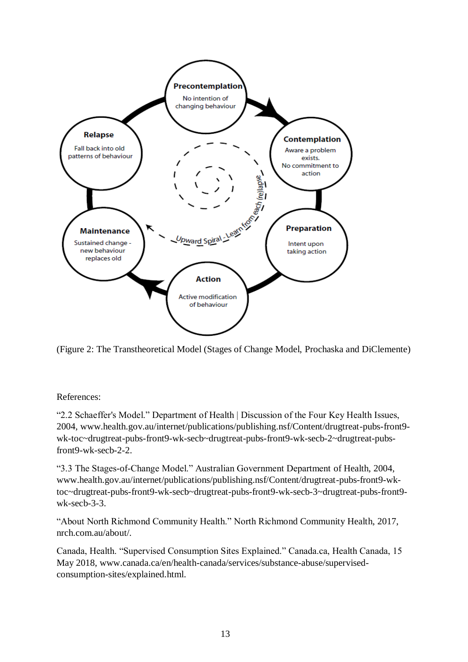

(Figure 2: The Transtheoretical Model (Stages of Change Model, Prochaska and DiClemente)

References:

"2.2 Schaeffer's Model." Department of Health | Discussion of the Four Key Health Issues, 2004, www.health.gov.au/internet/publications/publishing.nsf/Content/drugtreat-pubs-front9 wk-toc~drugtreat-pubs-front9-wk-secb~drugtreat-pubs-front9-wk-secb-2~drugtreat-pubsfront9-wk-secb-2-2.

"3.3 The Stages-of-Change Model." Australian Government Department of Health, 2004, www.health.gov.au/internet/publications/publishing.nsf/Content/drugtreat-pubs-front9-wktoc~drugtreat-pubs-front9-wk-secb~drugtreat-pubs-front9-wk-secb-3~drugtreat-pubs-front9 wk-secb-3-3.

"About North Richmond Community Health." North Richmond Community Health, 2017, nrch.com.au/about/.

Canada, Health. "Supervised Consumption Sites Explained." Canada.ca, Health Canada, 15 May 2018, www.canada.ca/en/health-canada/services/substance-abuse/supervisedconsumption-sites/explained.html.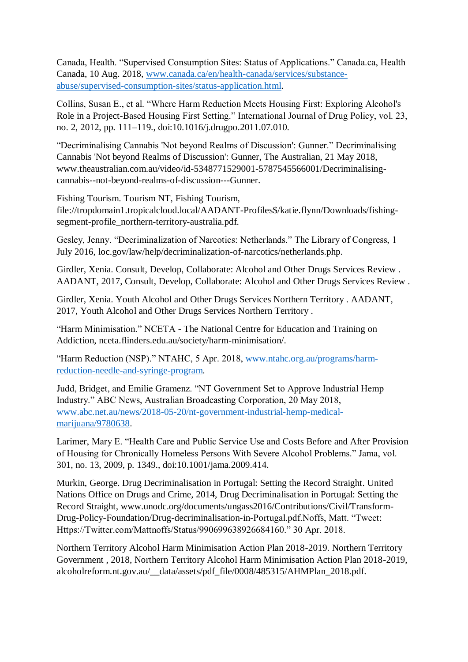Canada, Health. "Supervised Consumption Sites: Status of Applications." Canada.ca, Health Canada, 10 Aug. 2018, [www.canada.ca/en/health-canada/services/substance](http://www.canada.ca/en/health-canada/services/substance-abuse/supervised-consumption-sites/status-application.html)[abuse/supervised-consumption-sites/status-application.html.](http://www.canada.ca/en/health-canada/services/substance-abuse/supervised-consumption-sites/status-application.html)

Collins, Susan E., et al. "Where Harm Reduction Meets Housing First: Exploring Alcohol's Role in a Project-Based Housing First Setting." International Journal of Drug Policy, vol. 23, no. 2, 2012, pp. 111–119., doi:10.1016/j.drugpo.2011.07.010.

"Decriminalising Cannabis 'Not beyond Realms of Discussion': Gunner." Decriminalising Cannabis 'Not beyond Realms of Discussion': Gunner, The Australian, 21 May 2018, www.theaustralian.com.au/video/id-5348771529001-5787545566001/Decriminalisingcannabis--not-beyond-realms-of-discussion---Gunner.

Fishing Tourism. Tourism NT, Fishing Tourism, file://tropdomain1.tropicalcloud.local/AADANT-Profiles\$/katie.flynn/Downloads/fishingsegment-profile\_northern-territory-australia.pdf.

Gesley, Jenny. "Decriminalization of Narcotics: Netherlands." The Library of Congress, 1 July 2016, loc.gov/law/help/decriminalization-of-narcotics/netherlands.php.

Girdler, Xenia. Consult, Develop, Collaborate: Alcohol and Other Drugs Services Review . AADANT, 2017, Consult, Develop, Collaborate: Alcohol and Other Drugs Services Review .

Girdler, Xenia. Youth Alcohol and Other Drugs Services Northern Territory . AADANT, 2017, Youth Alcohol and Other Drugs Services Northern Territory .

"Harm Minimisation." NCETA - The National Centre for Education and Training on Addiction, nceta.flinders.edu.au/society/harm-minimisation/.

"Harm Reduction (NSP)." NTAHC, 5 Apr. 2018, [www.ntahc.org.au/programs/harm](http://www.ntahc.org.au/programs/harm-reduction-needle-and-syringe-program)[reduction-needle-and-syringe-program.](http://www.ntahc.org.au/programs/harm-reduction-needle-and-syringe-program)

Judd, Bridget, and Emilie Gramenz. "NT Government Set to Approve Industrial Hemp Industry." ABC News, Australian Broadcasting Corporation, 20 May 2018, [www.abc.net.au/news/2018-05-20/nt-government-industrial-hemp-medical](http://www.abc.net.au/news/2018-05-20/nt-government-industrial-hemp-medical-marijuana/9780638)[marijuana/9780638.](http://www.abc.net.au/news/2018-05-20/nt-government-industrial-hemp-medical-marijuana/9780638)

Larimer, Mary E. "Health Care and Public Service Use and Costs Before and After Provision of Housing for Chronically Homeless Persons With Severe Alcohol Problems." Jama, vol. 301, no. 13, 2009, p. 1349., doi:10.1001/jama.2009.414.

Murkin, George. Drug Decriminalisation in Portugal: Setting the Record Straight. United Nations Office on Drugs and Crime, 2014, Drug Decriminalisation in Portugal: Setting the Record Straight, www.unodc.org/documents/ungass2016/Contributions/Civil/Transform-Drug-Policy-Foundation/Drug-decriminalisation-in-Portugal.pdf.Noffs, Matt. "Tweet: Https://Twitter.com/Mattnoffs/Status/990699638926684160." 30 Apr. 2018.

Northern Territory Alcohol Harm Minimisation Action Plan 2018-2019. Northern Territory Government , 2018, Northern Territory Alcohol Harm Minimisation Action Plan 2018-2019, alcoholreform.nt.gov.au/\_\_data/assets/pdf\_file/0008/485315/AHMPlan\_2018.pdf.